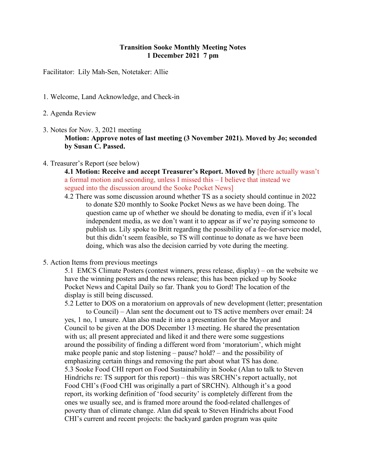## **Transition Sooke Monthly Meeting Notes 1 December 2021 7 pm**

Facilitator: Lily Mah-Sen, Notetaker: Allie

- 1. Welcome, Land Acknowledge, and Check-in
- 2. Agenda Review
- 3. Notes for Nov. 3, 2021 meeting **Motion: Approve notes of last meeting (3 November 2021). Moved by Jo; seconded by Susan C. Passed.**
- 4. Treasurer's Report (see below)

**4.1 Motion: Receive and accept Treasurer's Report. Moved by [there actually wasn't** a formal motion and seconding, unless I missed this – I believe that instead we segued into the discussion around the Sooke Pocket News]

- 4.2 There was some discussion around whether TS as a society should continue in 2022 to donate \$20 monthly to Sooke Pocket News as we have been doing. The question came up of whether we should be donating to media, even if it's local independent media, as we don't want it to appear as if we're paying someone to publish us. Lily spoke to Britt regarding the possibility of a fee-for-service model, but this didn't seem feasible, so TS will continue to donate as we have been doing, which was also the decision carried by vote during the meeting.
- 5. Action Items from previous meetings

5.1 EMCS Climate Posters (contest winners, press release, display) – on the website we have the winning posters and the news release; this has been picked up by Sooke Pocket News and Capital Daily so far. Thank you to Gord! The location of the display is still being discussed.

5.2 Letter to DOS on a moratorium on approvals of new development (letter; presentation to Council) – Alan sent the document out to TS active members over email: 24 yes, 1 no, 1 unsure. Alan also made it into a presentation for the Mayor and Council to be given at the DOS December 13 meeting. He shared the presentation with us; all present appreciated and liked it and there were some suggestions around the possibility of finding a different word from 'moratorium', which might make people panic and stop listening – pause? hold? – and the possibility of emphasizing certain things and removing the part about what TS has done. 5.3 Sooke Food CHI report on Food Sustainability in Sooke (Alan to talk to Steven Hindrichs re: TS support for this report) – this was SRCHN's report actually, not Food CHI's (Food CHI was originally a part of SRCHN). Although it's a good report, its working definition of 'food security' is completely different from the ones we usually see, and is framed more around the food-related challenges of poverty than of climate change. Alan did speak to Steven Hindrichs about Food CHI's current and recent projects: the backyard garden program was quite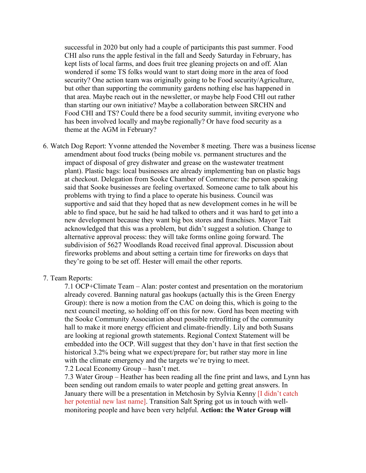successful in 2020 but only had a couple of participants this past summer. Food CHI also runs the apple festival in the fall and Seedy Saturday in February, has kept lists of local farms, and does fruit tree gleaning projects on and off. Alan wondered if some TS folks would want to start doing more in the area of food security? One action team was originally going to be Food security/Agriculture, but other than supporting the community gardens nothing else has happened in that area. Maybe reach out in the newsletter, or maybe help Food CHI out rather than starting our own initiative? Maybe a collaboration between SRCHN and Food CHI and TS? Could there be a food security summit, inviting everyone who has been involved locally and maybe regionally? Or have food security as a theme at the AGM in February?

6. Watch Dog Report: Yvonne attended the November 8 meeting. There was a business license amendment about food trucks (being mobile vs. permanent structures and the impact of disposal of grey dishwater and grease on the wastewater treatment plant). Plastic bags: local businesses are already implementing ban on plastic bags at checkout. Delegation from Sooke Chamber of Commerce: the person speaking said that Sooke businesses are feeling overtaxed. Someone came to talk about his problems with trying to find a place to operate his business. Council was supportive and said that they hoped that as new development comes in he will be able to find space, but he said he had talked to others and it was hard to get into a new development because they want big box stores and franchises. Mayor Tait acknowledged that this was a problem, but didn't suggest a solution. Change to alternative approval process: they will take forms online going forward. The subdivision of 5627 Woodlands Road received final approval. Discussion about fireworks problems and about setting a certain time for fireworks on days that they're going to be set off. Hester will email the other reports.

## 7. Team Reports:

7.1 OCP+Climate Team – Alan: poster contest and presentation on the moratorium already covered. Banning natural gas hookups (actually this is the Green Energy Group): there is now a motion from the CAC on doing this, which is going to the next council meeting, so holding off on this for now. Gord has been meeting with the Sooke Community Association about possible retrofitting of the community hall to make it more energy efficient and climate-friendly. Lily and both Susans are looking at regional growth statements. Regional Context Statement will be embedded into the OCP. Will suggest that they don't have in that first section the historical 3.2% being what we expect/prepare for; but rather stay more in line with the climate emergency and the targets we're trying to meet.

7.2 Local Economy Group – hasn't met.

7.3 Water Group – Heather has been reading all the fine print and laws, and Lynn has been sending out random emails to water people and getting great answers. In January there will be a presentation in Metchosin by Sylvia Kenny II didn't catch her potential new last name]. Transition Salt Spring got us in touch with wellmonitoring people and have been very helpful. **Action: the Water Group will**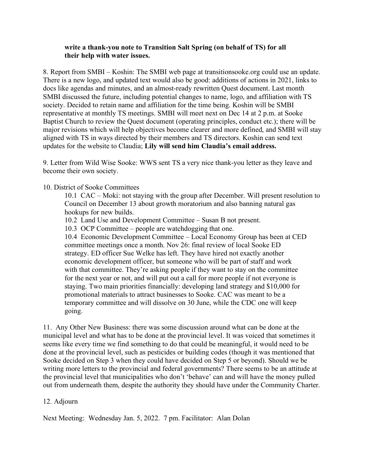## **write a thank-you note to Transition Salt Spring (on behalf of TS) for all their help with water issues.**

8. Report from SMBI – Koshin: The SMBI web page at transitionsooke.org could use an update. There is a new logo, and updated text would also be good: additions of actions in 2021, links to docs like agendas and minutes, and an almost-ready rewritten Quest document. Last month SMBI discussed the future, including potential changes to name, logo, and affiliation with TS society. Decided to retain name and affiliation for the time being. Koshin will be SMBI representative at monthly TS meetings. SMBI will meet next on Dec 14 at 2 p.m. at Sooke Baptist Church to review the Quest document (operating principles, conduct etc.); there will be major revisions which will help objectives become clearer and more defined, and SMBI will stay aligned with TS in ways directed by their members and TS directors. Koshin can send text updates for the website to Claudia; **Lily will send him Claudia's email address.**

9. Letter from Wild Wise Sooke: WWS sent TS a very nice thank-you letter as they leave and become their own society.

10. District of Sooke Committees

10.1 CAC – Moki: not staying with the group after December. Will present resolution to Council on December 13 about growth moratorium and also banning natural gas hookups for new builds.

10.2 Land Use and Development Committee – Susan B not present.

10.3 OCP Committee – people are watchdogging that one.

10.4 Economic Development Committee – Local Economy Group has been at CED committee meetings once a month. Nov 26: final review of local Sooke ED strategy. ED officer Sue Welke has left. They have hired not exactly another economic development officer, but someone who will be part of staff and work with that committee. They're asking people if they want to stay on the committee for the next year or not, and will put out a call for more people if not everyone is staying. Two main priorities financially: developing land strategy and \$10,000 for promotional materials to attract businesses to Sooke. CAC was meant to be a temporary committee and will dissolve on 30 June, while the CDC one will keep going.

11. Any Other New Business: there was some discussion around what can be done at the municipal level and what has to be done at the provincial level. It was voiced that sometimes it seems like every time we find something to do that could be meaningful, it would need to be done at the provincial level, such as pesticides or building codes (though it was mentioned that Sooke decided on Step 3 when they could have decided on Step 5 or beyond). Should we be writing more letters to the provincial and federal governments? There seems to be an attitude at the provincial level that municipalities who don't 'behave' can and will have the money pulled out from underneath them, despite the authority they should have under the Community Charter.

## 12. Adjourn

Next Meeting: Wednesday Jan. 5, 2022. 7 pm. Facilitator: Alan Dolan